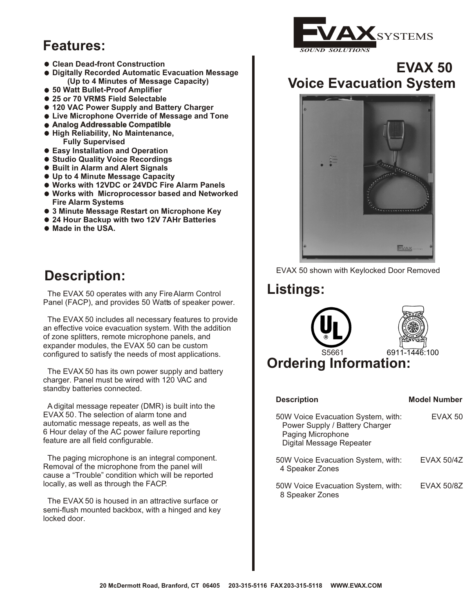# **Features:**

- **Clean Dead-front Construction**
- **Digitally Recorded Automatic Evacuation Message (Up to 4 Minutes of Message Capacity)**
- **50 Watt Bullet-Proof Amplifier**
- **25 or 70 VRMS Field Selectable**
- **120 VAC Power Supply and Battery Charger**
- **Live Microphone Override of Message and Tone**
- **Analog Addressable Compatible**
- **High Reliability, No Maintenance, Fully Supervised**
- **Easy Installation and Operation**
- **Studio Quality Voice Recordings**
- **Built in Alarm and Alert Signals**
- **Up to 4 Minute Message Capacity**
- **Works with 12VDC or 24VDC Fire Alarm Panels**
- **Works with Microprocessor based and Networked Fire Alarm Systems**
- **3 Minute Message Restart on Microphone Key**
- **24 Hour Backup with two 12V 7AHr Batteries**
- **Made in the USA.**

# **Description:**

The EVAX 50 operates with any Fire Alarm Control **Listings:** Panel (FACP), and provides 50 Watts of speaker power.

The EVAX 50 includes all necessary features to provide an effective voice evacuation system. With the addition of zone splitters, remote m icrophone panels, and expander modules, the EVAX 50 can be custom configured to satisfy the needs of most applications.

The EVAX 50 has its own power supply and battery charger. Panel must be wired with 120 VAC and standby batteries connected.

 A digital message repeater (DMR) is built into the EVAX 50. The selection of alarm tone and automatic message repeats, as well as the 6 Hour delay of the AC power failure reporting feature are all field configurable.

 The paging microphone is an integral component. Removal of the microphone from the panel will cause a "Trouble" condition which will be reported locally, as well as through the FACP.

The EVAX 50 is housed in an attractive surface or semi-flush mounted backbox, with a hinged and key locked door.



#### **EVAX 50 Voice Evacuation System**







| <b>Description</b>                                                                                                    | <b>Model Number</b> |
|-----------------------------------------------------------------------------------------------------------------------|---------------------|
| 50W Voice Evacuation System, with:<br>Power Supply / Battery Charger<br>Paging Microphone<br>Digital Message Repeater | EVAX 50             |
| 50W Voice Evacuation System, with:<br>4 Speaker Zones                                                                 | <b>EVAX 50/4Z</b>   |
| 50W Voice Evacuation System, with:<br>8 Speaker Zones                                                                 | EVAX 50/8Z          |